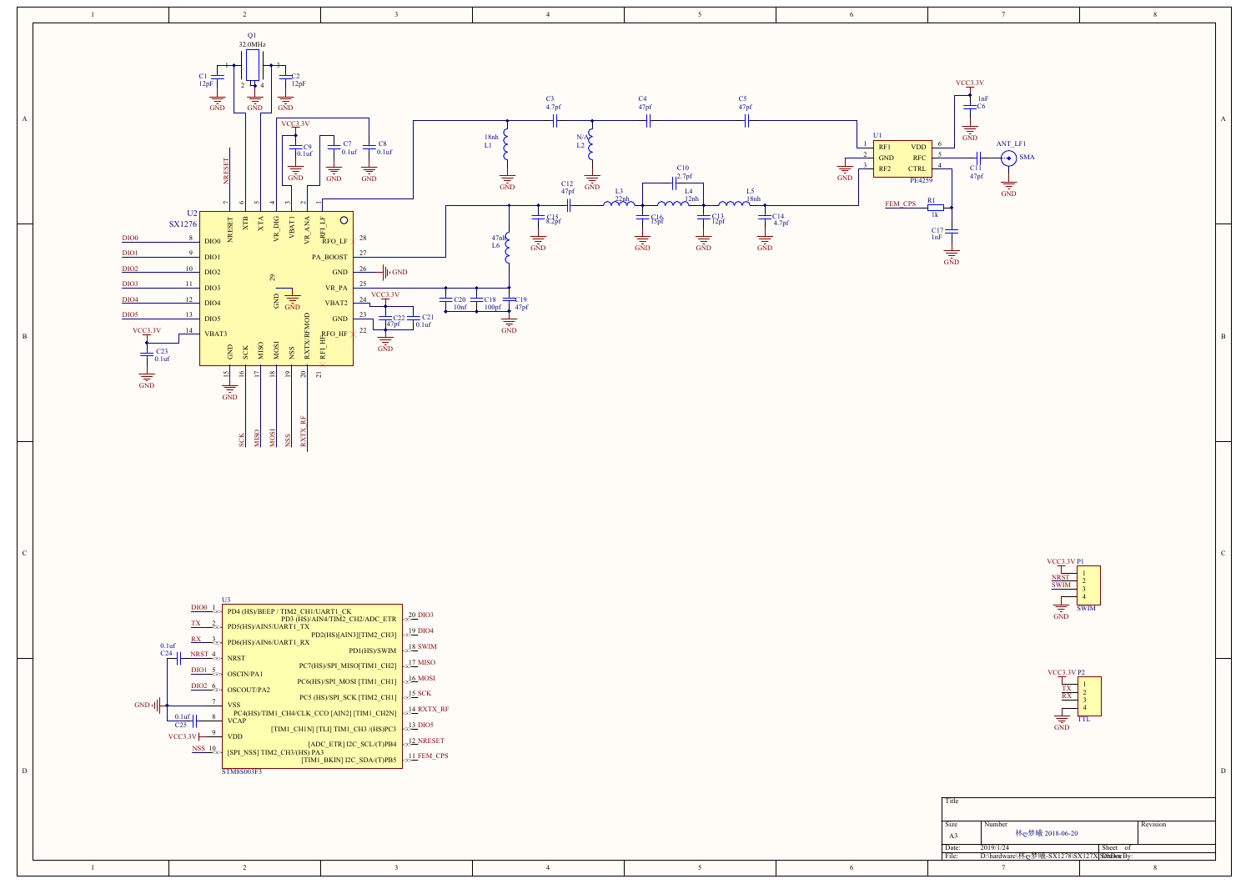